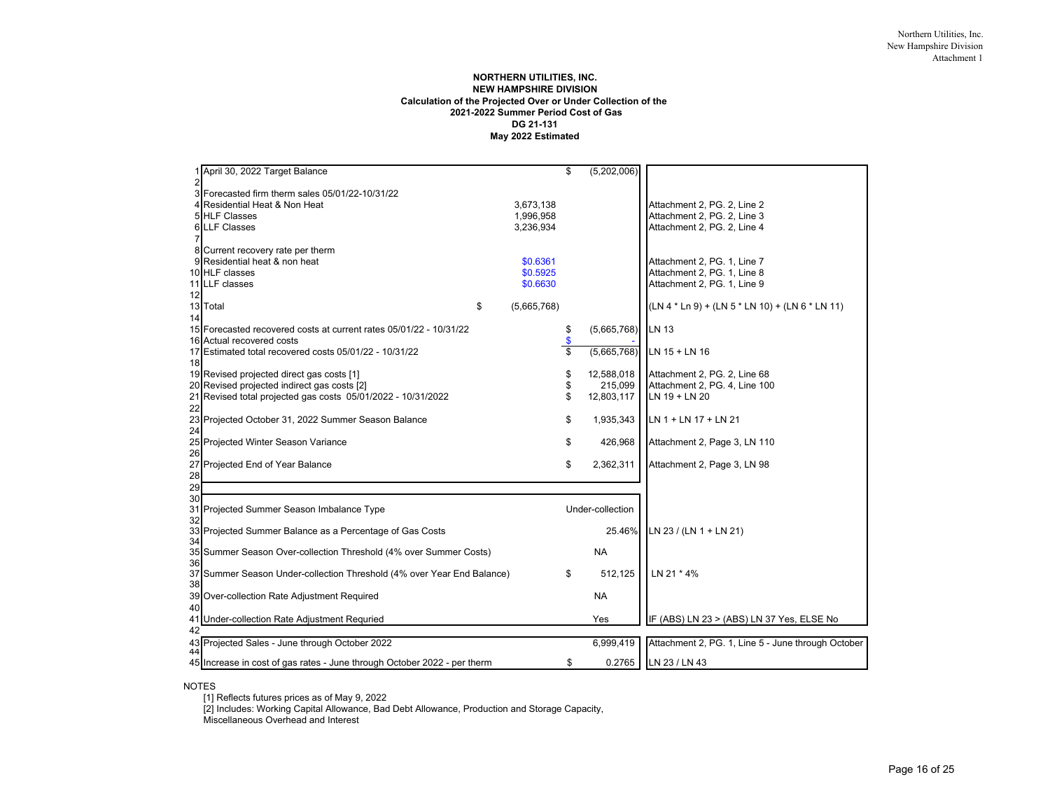## **NORTHERN UTILITIES, INC. NEW HAMPSHIRE DIVISION Calculation of the Projected Over or Under Collection of the 2021-2022 Summer Period Cost of Gas DG 21-131 May 2022 Estimated**

|                | 1 April 30, 2022 Target Balance                                          |                   | \$            | (5,202,006)      |                                                    |
|----------------|--------------------------------------------------------------------------|-------------------|---------------|------------------|----------------------------------------------------|
| $\overline{2}$ | 3 Forecasted firm therm sales 05/01/22-10/31/22                          |                   |               |                  |                                                    |
|                | Residential Heat & Non Heat                                              | 3,673,138         |               |                  | Attachment 2, PG. 2, Line 2                        |
|                | 5 HLF Classes                                                            | 1,996,958         |               |                  | Attachment 2, PG. 2, Line 3                        |
|                | <b>6 LLF Classes</b>                                                     | 3.236.934         |               |                  | Attachment 2, PG. 2, Line 4                        |
|                |                                                                          |                   |               |                  |                                                    |
|                | 8 Current recovery rate per therm                                        |                   |               |                  |                                                    |
|                | Residential heat & non heat                                              | \$0.6361          |               |                  | Attachment 2, PG. 1, Line 7                        |
|                | 10 HLF classes                                                           | \$0.5925          |               |                  | Attachment 2, PG. 1, Line 8                        |
|                | 11 LLF classes                                                           | \$0.6630          |               |                  | Attachment 2, PG. 1, Line 9                        |
| 12             |                                                                          |                   |               |                  |                                                    |
| 13             | Total                                                                    | \$<br>(5,665,768) |               |                  | (LN 4 * Ln 9) + (LN 5 * LN 10) + (LN 6 * LN 11)    |
| 14             |                                                                          |                   |               |                  |                                                    |
|                | 15 Forecasted recovered costs at current rates 05/01/22 - 10/31/22       |                   | \$            | (5,665,768)      | LN 13                                              |
|                | 16 Actual recovered costs                                                |                   |               |                  |                                                    |
|                | 17 Estimated total recovered costs 05/01/22 - 10/31/22                   |                   | $\frac{3}{3}$ | (5,665,768)      | LN 15 + LN 16                                      |
| 18             |                                                                          |                   |               |                  |                                                    |
|                | 19 Revised projected direct gas costs [1]                                |                   | \$            | 12,588,018       | Attachment 2, PG. 2, Line 68                       |
|                | 20 Revised projected indirect gas costs [2]                              |                   | \$            | 215,099          | Attachment 2, PG. 4, Line 100                      |
| 21             | Revised total projected gas costs 05/01/2022 - 10/31/2022                |                   | \$            | 12,803,117       | LN 19 + LN 20                                      |
| 22             |                                                                          |                   |               |                  |                                                    |
| 23             | Projected October 31, 2022 Summer Season Balance                         |                   | \$            | 1,935,343        | LN 1 + LN 17 + LN 21                               |
| 24             |                                                                          |                   |               |                  |                                                    |
| 25             | Projected Winter Season Variance                                         |                   | \$            | 426,968          | Attachment 2, Page 3, LN 110                       |
| 26             |                                                                          |                   |               |                  |                                                    |
| 27             | Projected End of Year Balance                                            |                   | \$            | 2,362,311        | Attachment 2, Page 3, LN 98                        |
| 28             |                                                                          |                   |               |                  |                                                    |
| 29             |                                                                          |                   |               |                  |                                                    |
| 30             |                                                                          |                   |               |                  |                                                    |
| 31             | Projected Summer Season Imbalance Type                                   |                   |               | Under-collection |                                                    |
| 32             |                                                                          |                   |               |                  |                                                    |
| 33             | Projected Summer Balance as a Percentage of Gas Costs                    |                   |               | 25.46%           | LN 23 / (LN 1 + LN 21)                             |
| 34             |                                                                          |                   |               |                  |                                                    |
| 35             | Summer Season Over-collection Threshold (4% over Summer Costs)           |                   |               | <b>NA</b>        |                                                    |
| 36             |                                                                          |                   |               |                  |                                                    |
| 37             | Summer Season Under-collection Threshold (4% over Year End Balance)      |                   | \$            | 512,125          | LN 21 * 4%                                         |
| 38             |                                                                          |                   |               |                  |                                                    |
| 39             | Over-collection Rate Adjustment Required                                 |                   |               | <b>NA</b>        |                                                    |
| 40             |                                                                          |                   |               |                  |                                                    |
| 41             | Under-collection Rate Adjustment Requried                                |                   |               | Yes              | IF (ABS) LN 23 > (ABS) LN 37 Yes, ELSE No          |
| 42             |                                                                          |                   |               |                  |                                                    |
| 44             | 43 Projected Sales - June through October 2022                           |                   |               | 6,999,419        | Attachment 2, PG. 1, Line 5 - June through October |
|                | 45 Increase in cost of gas rates - June through October 2022 - per therm |                   | \$            | 0.2765           | LN 23 / LN 43                                      |
|                |                                                                          |                   |               |                  |                                                    |

### NOTES

[1] Reflects futures prices as of May 9, 2022

[2] Includes: Working Capital Allowance, Bad Debt Allowance, Production and Storage Capacity,

Miscellaneous Overhead and Interest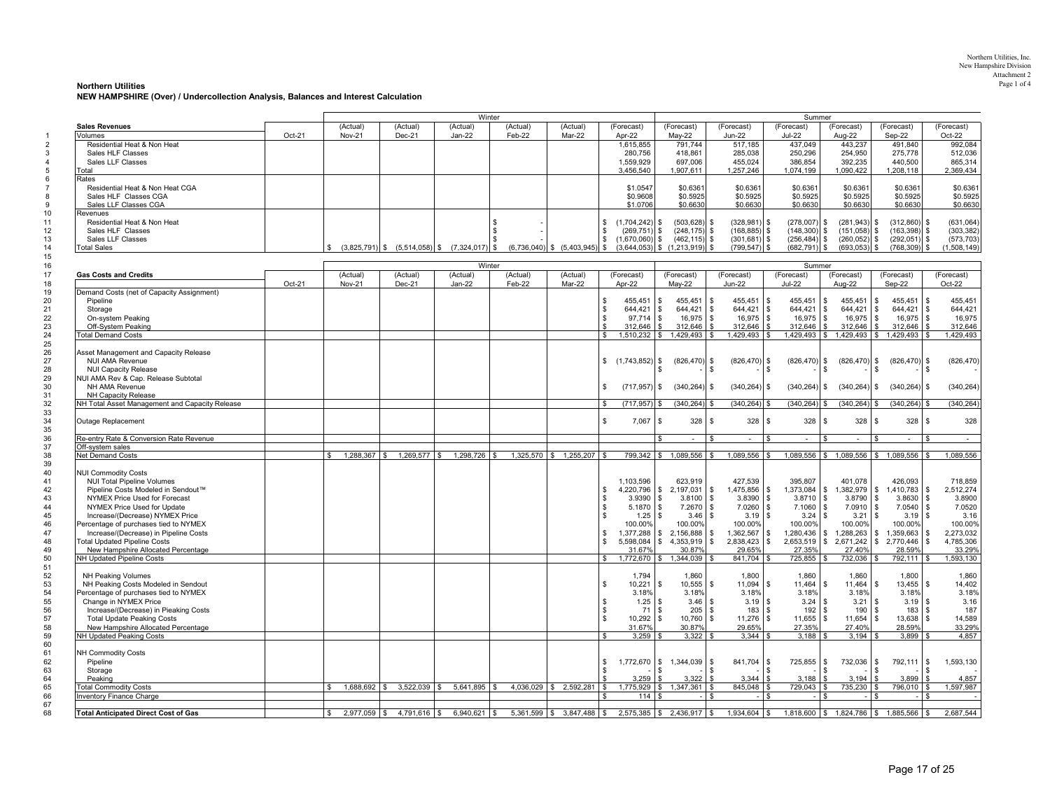#### Northern Utilities, Inc. New Hampshire Division Attachment 2Page 1 of 4 **Northern Utilities** Page 1 of 4

**NEW HAMPSHIRE (Over) / Undercollection Analysis, Balances and Interest Calculation**

|                                                |        | Winter<br>Summer      |                |                                                    |          |                                   |                         |                             |                                                |                |                                 |                                              |                             |
|------------------------------------------------|--------|-----------------------|----------------|----------------------------------------------------|----------|-----------------------------------|-------------------------|-----------------------------|------------------------------------------------|----------------|---------------------------------|----------------------------------------------|-----------------------------|
| <b>Sales Revenues</b>                          |        | (Actual)              | (Actual)       | (Actual)                                           | (Actual) | (Actual)                          | (Forecast)              | (Forecast)                  | (Forecast)                                     | (Forecast)     | (Forecast)                      | (Forecast)                                   | (Forecast)                  |
| Volumes                                        | Oct-21 | <b>Nov-21</b>         | Dec-21         | $Jan-22$                                           | Feb-22   | Mar-22                            | Apr-22                  | $May-22$                    | <b>Jun-22</b>                                  | <b>Jul-22</b>  | Aug-22                          | Sep-22                                       | Oct-22                      |
| Residential Heat & Non Heat                    |        |                       |                |                                                    |          |                                   | 1,615,855               | 791,744                     | 517,185                                        | 437,049        | 443,237                         | 491,840                                      | 992,084                     |
| Sales HLF Classes                              |        |                       |                |                                                    |          |                                   | 280,756                 | 418,861                     | 285,038                                        | 250,296        | 254,950                         | 275,778                                      | 512,036                     |
| Sales LLF Classes                              |        |                       |                |                                                    |          |                                   | 1,559,929               | 697,006                     | 455,024                                        | 386,854        | 392,235                         | 440,500                                      | 865,314                     |
| Total                                          |        |                       |                |                                                    |          |                                   | 3,456,540               | 1,907,611                   | 1,257,246                                      | 1,074,199      | 1,090,422                       | 1,208,118                                    | 2,369,434                   |
| Rates                                          |        |                       |                |                                                    |          |                                   |                         |                             |                                                |                |                                 |                                              |                             |
| Residential Heat & Non Heat CGA                |        |                       |                |                                                    |          |                                   | \$1.0547                | \$0.6361                    | \$0.6361                                       | \$0.6361       | \$0.6361                        | \$0.6361                                     | \$0.6361                    |
| Sales HLF Classes CGA                          |        |                       |                |                                                    |          |                                   | \$0.9608                | \$0.5925                    | \$0.5925                                       | \$0.5925       | \$0.5925                        | \$0.5925                                     | \$0.5925                    |
| Sales LLF Classes CGA                          |        |                       |                |                                                    |          |                                   | \$1,0706                | \$0.6630                    | \$0,6630                                       | \$0,6630       | \$0,6630                        | \$0.6630                                     | \$0.6630                    |
| Revenues                                       |        |                       |                |                                                    |          |                                   |                         |                             |                                                |                |                                 |                                              |                             |
| Residential Heat & Non Heat                    |        |                       |                |                                                    | \$       |                                   | \$<br>$(1,704,242)$ \$  | $(503, 628)$ \$             | (328, 981)<br>\$                               | (278,007)      | \$<br>$(281, 943)$ \$           | $(312,860)$ \$                               | (631, 064)                  |
| Sales HLF Classes                              |        |                       |                |                                                    | - \$     |                                   | $(269, 751)$ \$<br>\$   | $(248, 175)$ \$             | $(168, 885)$ \$                                | $(148,300)$ \$ | $(151,058)$ \$                  | $(163, 398)$ \$                              | (303, 382)                  |
| Sales LLF Classes                              |        |                       |                |                                                    |          |                                   | \$.<br>$(1,670,060)$ \$ | $(462, 115)$ \$             | $(301, 681)$ \$                                | (256, 484)     | $\mathbb{S}$<br>$(260, 052)$ \$ | $(292,051)$ \$                               | (573, 703)                  |
| <b>Total Sales</b>                             |        |                       |                | $(3,825,791)$ \$ $(5,514,058)$ \$ $(7,324,017)$ \$ |          | $(6,736,040)$ \$ $(5,403,945)$ \$ | (3,644,053)             | (1,213,919)                 | (799, 547)<br>\$                               | (682, 791)     | \$<br>$(693,053)$ \$            | $(768, 309)$ \$                              | (1,508,149)                 |
|                                                |        |                       |                |                                                    |          |                                   |                         | \$                          | \$                                             |                |                                 |                                              |                             |
| Winter<br>Summer                               |        |                       |                |                                                    |          |                                   |                         |                             |                                                |                |                                 |                                              |                             |
|                                                |        |                       |                |                                                    |          |                                   |                         |                             |                                                |                |                                 |                                              |                             |
| <b>Gas Costs and Credits</b>                   |        | (Actual)              | (Actual)       | (Actual)                                           | (Actual) | (Actual)                          | (Forecast)              | (Forecast)                  | (Forecast)                                     | (Forecast)     | (Forecast)                      | (Forecast)                                   | (Forecast)                  |
|                                                | Oct-21 | <b>Nov-21</b>         | Dec-21         | $Jan-22$                                           | Feb-22   | Mar-22                            | Apr-22                  | May-22                      | <b>Jun-22</b>                                  | <b>Jul-22</b>  | Aug-22                          | Sep-22                                       | Oct-22                      |
| Demand Costs (net of Capacity Assignment)      |        |                       |                |                                                    |          |                                   |                         |                             |                                                |                |                                 |                                              |                             |
| Pipeline                                       |        |                       |                |                                                    |          |                                   | \$<br>455,451           | 455,451<br>$\mathbf{s}$     | 455,451<br>\$.<br>\$.                          | 455,451        | 455,451<br>s.                   | 455,451<br>\$                                | $\sqrt{3}$<br>455,451       |
| Storage                                        |        |                       |                |                                                    |          |                                   | \$<br>644,421           | 644,421<br>\$               | \$<br>644,421<br>\$                            | 644,421        | $\mathbb{S}$<br>644,421         | \$<br>644,421                                | $\sqrt{3}$<br>644,421       |
| On-system Peaking                              |        |                       |                |                                                    |          |                                   | \$<br>97,714            | 16,975<br>\$                | \$<br>16,975<br>\$                             | 16,975         | \$<br>16,975                    | \$<br>16,975                                 | 16,975<br><b>S</b>          |
| Off-System Peaking                             |        |                       |                |                                                    |          |                                   | \$<br>312.646           | \$<br>312.646               | \$.<br>\$.<br>312.646                          | 312.646        | \$<br>312,646                   | s.<br>312.646                                | <b>S</b><br>312.646         |
| <b>Total Demand Costs</b>                      |        |                       |                |                                                    |          |                                   | \$<br>1,510,232         | $\mathfrak s$<br>1,429,493  | 1,429,493<br>$\mathbf{\hat{S}}$<br>\$.         |                | 1,429,493 \$ 1,429,493          | \$<br>1,429,493                              | $\mathbf{s}$<br>1,429,493   |
|                                                |        |                       |                |                                                    |          |                                   |                         |                             |                                                |                |                                 |                                              |                             |
|                                                |        |                       |                |                                                    |          |                                   |                         |                             |                                                |                |                                 |                                              |                             |
| Asset Management and Capacity Release          |        |                       |                |                                                    |          |                                   |                         |                             |                                                |                |                                 |                                              |                             |
| <b>NUI AMA Revenue</b>                         |        |                       |                |                                                    |          |                                   | $$(1,743,852)$ \$       | $(826, 470)$ \$             | (826, 470)<br>s                                | (826, 470)     | \$<br>$(826, 470)$ \$           | $(826, 470)$ \$                              | (826, 470)                  |
| <b>NUI Capacity Release</b>                    |        |                       |                |                                                    |          |                                   |                         |                             | \$<br>\$                                       | £.             |                                 |                                              | - 35                        |
| NUI AMA Rev & Cap. Release Subtotal            |        |                       |                |                                                    |          |                                   |                         |                             |                                                |                |                                 |                                              |                             |
| NH AMA Revenue                                 |        |                       |                |                                                    |          |                                   | \$<br>$(717, 957)$ \$   | (340, 264)                  | (340, 264)<br>\$<br>s                          | (340, 264)     | $(340, 264)$ \$<br>\$           | $(340, 264)$ \$                              | (340, 264)                  |
| NH Capacity Release                            |        |                       |                |                                                    |          |                                   |                         |                             |                                                |                |                                 |                                              |                             |
| NH Total Asset Management and Capacity Release |        |                       |                |                                                    |          |                                   | \$<br>(717, 957)        | (340, 264)<br>\$            | (340, 264)                                     | (340, 264)     | $(340, 264)$ \$                 | $(340, 264)$ \$                              | (340, 264)                  |
|                                                |        |                       |                |                                                    |          |                                   |                         |                             |                                                |                |                                 |                                              |                             |
| Outage Replacement                             |        |                       |                |                                                    |          |                                   | \$<br>$7,067$ \$        | 328                         | 328<br>\$<br>S                                 | 328            | 328<br>\$                       | $328$ \$<br>\$                               | 328                         |
|                                                |        |                       |                |                                                    |          |                                   |                         |                             |                                                |                |                                 |                                              |                             |
| Re-entry Rate & Conversion Rate Revenue        |        |                       |                |                                                    |          |                                   |                         | $\overline{a}$              | \$<br>$\sim$<br>\$                             | $\sim$         | ¢<br>$\sim$                     | $\hat{\mathbf{r}}$<br>$\mathbf{r}$           | -S<br>$\sim$                |
|                                                |        |                       |                |                                                    |          |                                   |                         |                             |                                                |                |                                 |                                              |                             |
| Off-system sales                               |        |                       |                |                                                    |          |                                   |                         |                             |                                                |                |                                 |                                              |                             |
| Net Demand Costs                               |        | \$<br>$1,288,367$ \$  | 1,269,577 \$   | 1,298,726 \$                                       |          | $1,325,570$ \$ $1,255,207$ \$     |                         | 799,342 \$ 1,089,556        | 1,089,556<br>\$.<br>\$.                        |                |                                 | $1,089,556$ \$ $1,089,556$ \$ $1,089,556$ \$ | 1,089,556                   |
|                                                |        |                       |                |                                                    |          |                                   |                         |                             |                                                |                |                                 |                                              |                             |
| <b>NUI Commodity Costs</b>                     |        |                       |                |                                                    |          |                                   |                         |                             |                                                |                |                                 |                                              |                             |
| <b>NUI Total Pipeline Volumes</b>              |        |                       |                |                                                    |          |                                   | 1,103,596               | 623,919                     | 427,539                                        | 395,807        | 401,078                         | 426,093                                      | 718,859                     |
| Pipeline Costs Modeled in Sendout™             |        |                       |                |                                                    |          |                                   | 4.220.796<br>\$         | 2,197,031<br>\$             | 1,475,856<br>\$<br>\$.                         | 1,373,084      | 1,382,979<br>\$                 | $1,410,783$ \$<br>$\mathbb{S}$               | 2,512,274                   |
| NYMEX Price Used for Forecast                  |        |                       |                |                                                    |          |                                   | 3.9390<br>\$            | 3.8100<br>-\$               | \$<br>3.8390<br>\$                             | 3.8710         | 3.8790<br>\$                    | \$<br>3.8630                                 | 3.8900<br>$\sqrt{3}$        |
| NYMEX Price Used for Update                    |        |                       |                |                                                    |          |                                   | 5.1870<br>\$            | 7.2670<br>- \$              | s.<br>7.0260<br>S.                             | 7.1060         | \$<br>$7.0910$ \$               | $7.0540$ \$                                  | 7.0520                      |
| Increase/(Decrease) NYMEX Price                |        |                       |                |                                                    |          |                                   | \$.<br>1.25             | 3.46<br>\$                  | \$.<br>3.19<br>S.                              | 3.24           | $\mathbb{S}$<br>3.21            | $3.19$ \$<br>$\mathbf{s}$                    | 3.16                        |
| Percentage of purchases tied to NYMEX          |        |                       |                |                                                    |          |                                   | 100.00%                 | 100.00%                     | 100.00%                                        | 100.00%        | 100.00%                         | 100.00%                                      | 100.00%                     |
| Increase/(Decrease) in Pipeline Costs          |        |                       |                |                                                    |          |                                   | \$.<br>1,377,288        | 2,156,888<br>\$             | 1,362,567<br>\$<br>\$                          | 1,280,436      | \$<br>1,288,263                 | 1,359,663<br>\$                              | $\sqrt{3}$<br>2,273,032     |
|                                                |        |                       |                |                                                    |          |                                   |                         |                             |                                                |                |                                 |                                              |                             |
| <b>Total Updated Pipeline Costs</b>            |        |                       |                |                                                    |          |                                   | \$.<br>5.598.084        | \$<br>4,353,919             | $\mathbb{S}$<br>2,838,423<br>s.                | 2,653,519      | 2,671,242<br>s.                 | s.<br>2,770,446                              | l \$<br>4,785,306           |
| New Hampshire Allocated Percentage             |        |                       |                |                                                    |          |                                   | 31.67%                  | 30.87%                      | 29.65%                                         | 27.35%         | 27.40%                          | 28.59%                                       | 33.29%                      |
| NH Updated Pipeline Costs                      |        |                       |                |                                                    |          |                                   | \$.<br>1,772,670        | 1,344,039<br>$\mathbb{S}$   | 841,704                                        | 725,855 \$     | 732,036 \$                      | 792,111 \$                                   | 1,593,130                   |
|                                                |        |                       |                |                                                    |          |                                   |                         |                             |                                                |                |                                 |                                              |                             |
| <b>NH Peaking Volumes</b>                      |        |                       |                |                                                    |          |                                   | 1.794                   | 1.860                       | 1.800                                          | 1.860          | 1.860                           | 1.800                                        | 1,860                       |
| NH Peaking Costs Modeled in Sendout            |        |                       |                |                                                    |          |                                   | 10,221<br>\$            | 10,555<br>\$                | $\mathbb S$<br>11,094<br>\$                    | 11,464         | 11,464<br>s.                    | 13,455<br>\$                                 | l s<br>14,402               |
| Percentage of purchases tied to NYMEX          |        |                       |                |                                                    |          |                                   | 3.18%                   | 3.18%                       | 3.18%                                          | 3.18%          | 3.18%                           | 3.18%                                        | 3.18%                       |
| Change in NYMEX Price                          |        |                       |                |                                                    |          |                                   | \$<br>1.25              | 3.46<br>\$.                 | 3.19<br>\$<br>\$                               | 3.24           | \$<br>3.21                      | $3.19$ \$<br>S                               | 3.16                        |
| Increase/(Decrease) in Pieaking Costs          |        |                       |                |                                                    |          |                                   | \$<br>71                | 205<br>\$                   | \$<br>183<br>\$                                | 192            | 190<br>\$                       | \$<br>183                                    | $\sqrt{3}$<br>187           |
|                                                |        |                       |                |                                                    |          |                                   | s.                      |                             | \$                                             |                | \$                              | \$                                           |                             |
| <b>Total Update Peaking Costs</b>              |        |                       |                |                                                    |          |                                   | 10,292                  | 10,760<br>\$                | 11,276<br>\$                                   | 11,655         | 11,654                          | 13,638                                       | <b>S</b><br>14,589          |
| New Hampshire Allocated Percentage             |        |                       |                |                                                    |          |                                   | 31.67%                  | 30.87%                      | 29.65%                                         | 27.35%         | 27.40%                          | 28.59%                                       | 33.29%                      |
| <b>NH Updated Peaking Costs</b>                |        |                       |                |                                                    |          |                                   | 3,259<br>\$             | 3,322                       | 3,344<br>\$                                    | 3,188<br>- \$  | $3,194$ \$                      | 3,899                                        | 4,857                       |
|                                                |        |                       |                |                                                    |          |                                   |                         |                             |                                                |                |                                 |                                              |                             |
| <b>NH Commodity Costs</b>                      |        |                       |                |                                                    |          |                                   |                         |                             |                                                |                |                                 |                                              |                             |
| Pipeline                                       |        |                       |                |                                                    |          |                                   | \$<br>1,772,670         | \$1,344,039                 | 841,704<br>\$<br>S                             | 725,855        | 732,036<br>\$                   | 792,111 \$<br>\$                             | 1,593,130                   |
| Storage                                        |        |                       |                |                                                    |          |                                   | \$                      |                             | \$<br>S                                        |                |                                 | -S                                           | -\$                         |
| Peaking                                        |        |                       |                |                                                    |          |                                   | 3,259                   | 3,322                       | 3,344                                          | 3.188<br>S     | 3,194                           | 3.899<br>£.                                  | $\mathbf{\hat{S}}$<br>4,857 |
| <b>Total Commodity Costs</b>                   |        |                       |                | $1,688,692$ \$ $3,522,039$ \$ $5,641,895$ \$       |          | 4,036,029 \$ 2,592,281 \$         | 1,775,929               | 1,347,361<br>\$             | 845,048<br>$\mathcal{S}$<br>$\mathbf{\hat{A}}$ | 729,043        | $735,230$ \$<br>-S              | 796,010 \$                                   | 1,597,987                   |
| <b>Inventory Finance Charge</b>                |        |                       |                |                                                    |          |                                   | 114<br>S                |                             | S.<br>S                                        |                | \$.                             | - S                                          | ΙS                          |
|                                                |        |                       |                |                                                    |          |                                   |                         |                             |                                                |                |                                 |                                              |                             |
|                                                |        |                       |                |                                                    |          |                                   |                         |                             |                                                |                |                                 |                                              |                             |
| <b>Total Anticipated Direct Cost of Gas</b>    |        | $2.977.059$ \$<br>\$. | $4.791.616$ \$ | $6.940.621$ \ \$                                   |          | $5.361.599$ \$ 3.847.488 \$       |                         | $2.575.385$ \$ 2.436.917 \$ | $1.934.604$ \ \$                               |                |                                 | 1,818,600 \$ 1,824,786 \$ 1,885,566 \$       | 2.687.544                   |

Page 17 of 25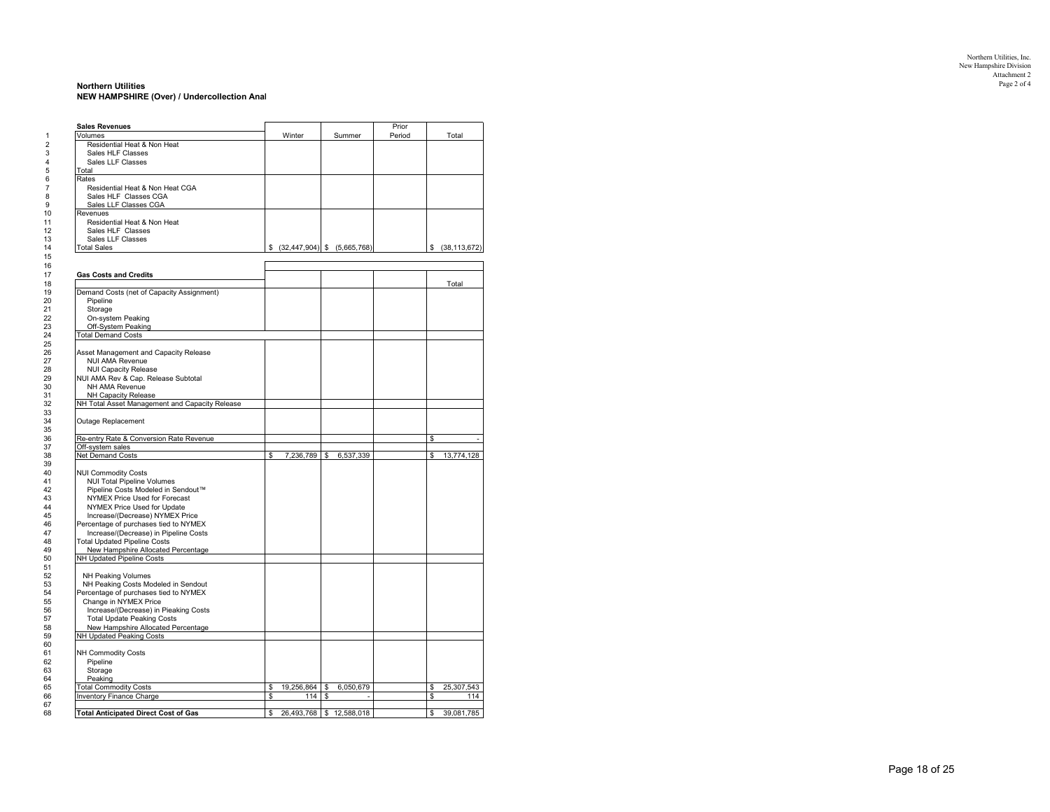#### **Northern Utilities** Page 2 of 4 **NEW HAMPSHIRE (Over) / Undercollection Anal**

| <b>Sales Revenues</b><br>Volumes               | Winter           | Summer                         | Prior<br>Period |              | Total             |
|------------------------------------------------|------------------|--------------------------------|-----------------|--------------|-------------------|
| Residential Heat & Non Heat                    |                  |                                |                 |              |                   |
| Sales HLF Classes                              |                  |                                |                 |              |                   |
| Sales LLF Classes                              |                  |                                |                 |              |                   |
| Total                                          |                  |                                |                 |              |                   |
| Rates                                          |                  |                                |                 |              |                   |
| Residential Heat & Non Heat CGA                |                  |                                |                 |              |                   |
| Sales HLF Classes CGA                          |                  |                                |                 |              |                   |
| Sales LLF Classes CGA                          |                  |                                |                 |              |                   |
| Revenues                                       |                  |                                |                 |              |                   |
| Residential Heat & Non Heat                    |                  |                                |                 |              |                   |
| Sales HLF Classes                              |                  |                                |                 |              |                   |
| Sales LLF Classes                              |                  |                                |                 |              |                   |
| <b>Total Sales</b>                             |                  | \$ (32,447,904) \$ (5,665,768) |                 |              | \$ (38, 113, 672) |
|                                                |                  |                                |                 |              |                   |
| <b>Gas Costs and Credits</b>                   |                  |                                |                 |              |                   |
|                                                |                  |                                |                 |              | Total             |
| Demand Costs (net of Capacity Assignment)      |                  |                                |                 |              |                   |
| Pipeline                                       |                  |                                |                 |              |                   |
| Storage                                        |                  |                                |                 |              |                   |
| On-system Peaking                              |                  |                                |                 |              |                   |
| Off-System Peaking                             |                  |                                |                 |              |                   |
| <b>Total Demand Costs</b>                      |                  |                                |                 |              |                   |
|                                                |                  |                                |                 |              |                   |
| Asset Management and Capacity Release          |                  |                                |                 |              |                   |
| <b>NUI AMA Revenue</b>                         |                  |                                |                 |              |                   |
| <b>NUI Capacity Release</b>                    |                  |                                |                 |              |                   |
| NUI AMA Rev & Cap. Release Subtotal            |                  |                                |                 |              |                   |
| NH AMA Revenue                                 |                  |                                |                 |              |                   |
| NH Capacity Release                            |                  |                                |                 |              |                   |
| NH Total Asset Management and Capacity Release |                  |                                |                 |              |                   |
|                                                |                  |                                |                 |              |                   |
| Outage Replacement                             |                  |                                |                 |              |                   |
| Re-entry Rate & Conversion Rate Revenue        |                  |                                |                 | \$           |                   |
| Off-system sales                               |                  |                                |                 |              |                   |
| <b>Net Demand Costs</b>                        | \$<br>7,236,789  | 6,537,339<br>\$                |                 | $\mathsf{s}$ | 13,774,128        |
|                                                |                  |                                |                 |              |                   |
| <b>NUI Commodity Costs</b>                     |                  |                                |                 |              |                   |
| <b>NUI Total Pipeline Volumes</b>              |                  |                                |                 |              |                   |
| Pipeline Costs Modeled in Sendout™             |                  |                                |                 |              |                   |
| NYMEX Price Used for Forecast                  |                  |                                |                 |              |                   |
| NYMEX Price Used for Update                    |                  |                                |                 |              |                   |
| Increase/(Decrease) NYMEX Price                |                  |                                |                 |              |                   |
| Percentage of purchases tied to NYMEX          |                  |                                |                 |              |                   |
| Increase/(Decrease) in Pipeline Costs          |                  |                                |                 |              |                   |
| <b>Total Updated Pipeline Costs</b>            |                  |                                |                 |              |                   |
| New Hampshire Allocated Percentage             |                  |                                |                 |              |                   |
| NH Updated Pipeline Costs                      |                  |                                |                 |              |                   |
|                                                |                  |                                |                 |              |                   |
| <b>NH Peaking Volumes</b>                      |                  |                                |                 |              |                   |
| NH Peaking Costs Modeled in Sendout            |                  |                                |                 |              |                   |
| Percentage of purchases tied to NYMEX          |                  |                                |                 |              |                   |
| Change in NYMEX Price                          |                  |                                |                 |              |                   |
| Increase/(Decrease) in Pieaking Costs          |                  |                                |                 |              |                   |
| <b>Total Update Peaking Costs</b>              |                  |                                |                 |              |                   |
|                                                |                  |                                |                 |              |                   |
|                                                |                  |                                |                 |              |                   |
| New Hampshire Allocated Percentage             |                  |                                |                 |              |                   |
| NH Updated Peaking Costs                       |                  |                                |                 |              |                   |
| <b>NH Commodity Costs</b>                      |                  |                                |                 |              |                   |
| Pipeline                                       |                  |                                |                 |              |                   |
| Storage                                        |                  |                                |                 |              |                   |
| Peaking                                        |                  |                                |                 |              |                   |
| <b>Total Commodity Costs</b>                   | \$<br>19,256,864 | \$<br>6,050,679                |                 | \$           |                   |
| Inventory Finance Charge                       | \$<br>114        | \$                             |                 | \$           | 25,307,543        |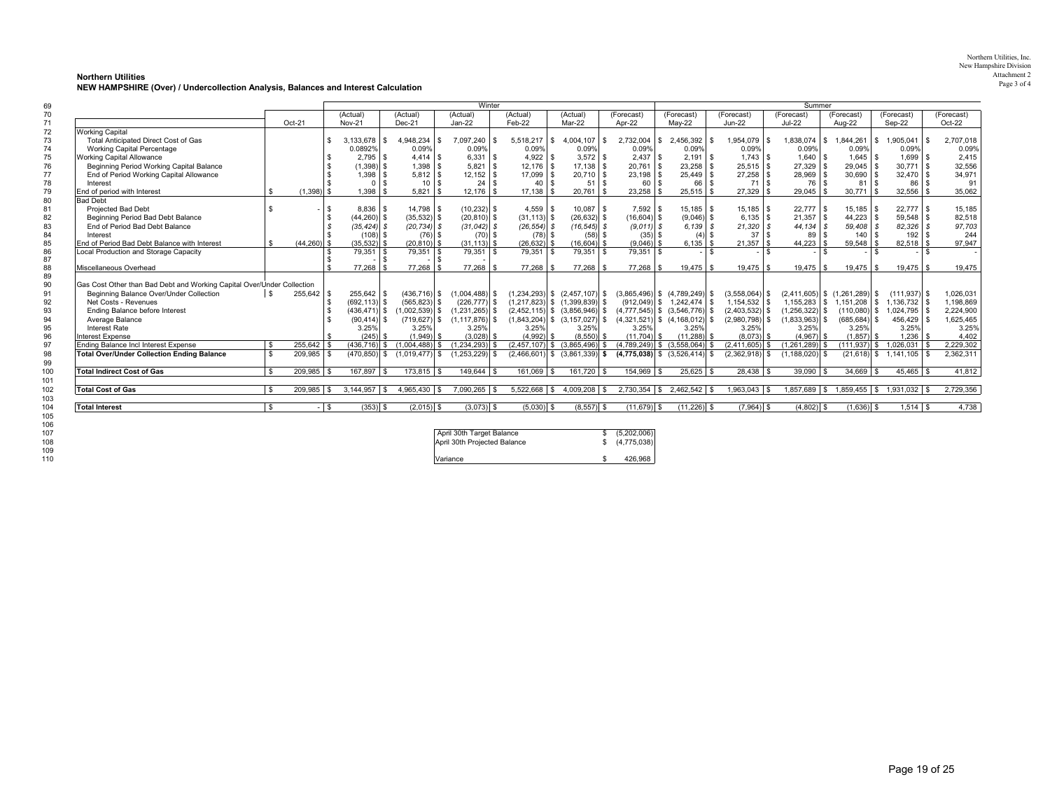| Northern Utilities, Inc. |
|--------------------------|
| New Hampshire Division   |
| Attachment 2             |
| Page 3 of 4              |

**Northern Utilities NEW HAMPSHIRE (Over) / Undercollection Analysis, Balances and Interest Calculation**

|                                                                        |      |                      |                 |                                 | Winter           |                |                                   |               |                                   |                               | Summer             |                                   |                               |            |
|------------------------------------------------------------------------|------|----------------------|-----------------|---------------------------------|------------------|----------------|-----------------------------------|---------------|-----------------------------------|-------------------------------|--------------------|-----------------------------------|-------------------------------|------------|
|                                                                        |      |                      | (Actual)        | (Actual)                        | (Actual)         | (Actual)       | (Actual)                          | (Forecast)    | (Forecast)                        | (Forecast)                    | (Forecast)         | (Forecast)                        | (Forecast)                    | (Forecast) |
|                                                                        |      | Oct-21               | <b>Nov-21</b>   | Dec-21                          | Jan-22           | Feb-22         | Mar-22                            | Apr-22        | May-22                            | <b>Jun-22</b>                 | <b>Jul-22</b>      | Aug-22                            | Sep-22                        | Oct-22     |
| <b>Working Capital</b>                                                 |      |                      |                 |                                 |                  |                |                                   |               |                                   |                               |                    |                                   |                               |            |
| Total Anticipated Direct Cost of Gas                                   |      |                      | 3,133,678       | 4.948.234<br>\$.<br><b>IS</b>   | 7,097,240        | $5,518,217$ \$ | 4.004.107<br>$\sqrt{3}$           | 2,732,004     | 2,456,392<br>\$                   | $1.954.079$ \$                | 1,838,074          | 1,844,261<br>l S                  | $1.905.041$ \$<br>- \$        | 2,707,018  |
| <b>Working Capital Percentage</b>                                      |      |                      | 0.0892%         | 0.09%                           | 0.09%            | 0.09%          | 0.09%                             | 0.09%         | 0.09%                             | 0.09%                         | 0.09%              | 0.09%                             | 0.09%                         | 0.09%      |
| Working Capital Allowance                                              |      |                      | $2.795$ \$      | $4.414$ \ \$                    | $6,331$ \$       | 4.922          |                                   | 2.437         | $2.191$ \$<br>-S.                 |                               | $1.640$ \ \$       | $1.645$ \ \ \$                    | $1.699$ \$                    | 2,415      |
| Beginning Period Working Capital Balance                               |      |                      | $(1,398)$ \$    | 1,398<br>£.                     | 5,821            | $12.176$ \ \$  |                                   | 20,761        | $23,258$ \$<br>$\mathbf{s}$       | $25,515$ \$                   | 27,329             | $29,045$ \$                       | $30.771$ \ \$                 | 32,556     |
| End of Period Working Capital Allowance                                |      |                      | $1.398$ \$      | $5.812$ \$                      | $12,152$ \$      | 17.099 \$      | $20.710$ \$                       | 23,198        | 25.449 \$<br>- \$                 | $27,258$ \$                   | 28,969 \$          | $30,690$ \$                       | $32.470$ \ \$                 | 34,971     |
| Interest                                                               |      |                      | $\Omega$        | $\mathbf{R}$<br>10 <sup>1</sup> | 24               | 40             | 51<br>$\mathbf{s}$<br>- \$        | 60            | 66<br>£.                          | l s                           | 76 \$              | 81                                | 86                            | 91         |
| End of period with Interest                                            | \$   | $(1,398)$ \$         | 1.398           | - \$                            | $12,176$ \$      | $17,138$ \$    | 20,761<br>1 s                     | 23,258        | $25,515$ \$<br>-S.                | $27,329$ \$                   | $29,045$ \$        | $30,771$ \$                       | $32,556$ \$                   | 35,062     |
| <b>Bad Debt</b>                                                        |      |                      |                 |                                 |                  |                |                                   |               |                                   |                               |                    |                                   |                               |            |
| <b>Projected Bad Debt</b>                                              |      | 1 \$                 | $8,836$ \$      | 14,798 \$                       | $(10,232)$ \$    | $4,559$ \$     | $10,087$ \$                       | 7,592         | $15,185$ \$<br>- \$               | $15,185$ \$                   | $22,777$ \$        | $15,185$ \$                       | $22.777$ \$                   | 15,185     |
| Beginning Period Bad Debt Balance                                      |      | <b>S</b>             | $(44, 260)$ \$  | $(35,532)$ \$                   | $(20, 810)$ \$   | $(31, 113)$ \$ | $(26, 632)$ \$                    | $(16,604)$ \$ | $(9,046)$ \$                      | $6,135$ \$                    | $21,357$ \$        | $44,223$ \$                       | $59.548$ \ \$                 | 82,518     |
| End of Period Bad Debt Balance                                         |      |                      | $(35, 424)$ \$  | $(20, 734)$ \$                  | $(31.042)$ \$    | $(26, 554)$ \$ | $(16, 545)$ \$                    | $(9.011)$ \$  | $6,139$ \$                        | $21,320$ \$                   | 44.134 \$          | $59.408$ \$                       | $82.326$ \$                   | 97,703     |
| Interest                                                               |      |                      | $(108)$ \$      | $(76)$ \$                       | $(70)$ \$        | $(78)$ \$      | $(58)$ \$                         | $(35)$ \$     | $(4)$ \$                          | $37$ $\overline{\phantom{1}}$ | 89                 | $140$ $\sqrt{\phantom{0}}$<br>l s | $192$ $\sqrt{5}$              | 244        |
| End of Period Bad Debt Balance with Interest                           |      | $(44.260)$ \$        | $(35,532)$ \$   | $(20, 810)$ \$                  | $(31.113)$ \$    | $(26, 632)$ \$ | $(16,604)$ \$                     | $(9,046)$ \$  | $6,135$ \$                        | $21,357$ \$                   | 44.223             | $59,548$ \$<br>l s                | $82,518$ \$                   | 97,947     |
| Local Production and Storage Capacity                                  |      |                      | $79,351$ \$     | $79,351$ \ \$                   | $79,351$ \ \$    | $79,351$ \$    | $79,351$ \ \$                     | $79,351$ \$   |                                   | l \$<br>- I S                 |                    |                                   | $-$ \$                        |            |
|                                                                        |      | £.                   |                 | $\mathbf{\hat{z}}$              |                  |                |                                   |               |                                   |                               |                    |                                   |                               |            |
| Miscellaneous Overhead                                                 |      | $\bullet$            | 77.268          | 77.268                          | 77.268 \$        | 77.268 \$      | 77.268 \$                         | 77.268        | 19.475 \$<br>- \$                 | $19.475$ \ \$                 |                    | $19,475$ \$                       | $19.475$ \ \$                 | 19.475     |
|                                                                        |      |                      |                 |                                 |                  |                |                                   |               |                                   |                               |                    |                                   |                               |            |
| Gas Cost Other than Bad Debt and Working Capital Over/Under Collection |      |                      |                 |                                 |                  |                |                                   |               |                                   |                               |                    |                                   |                               |            |
| Beginning Balance Over/Under Collection                                | l \$ | 255,642 \$           | 255,642 \$      | $(436, 716)$ \$                 | $(1,004,488)$ \$ |                | $(1,234,293)$ \$ $(2,457,107)$ \$ |               | $(3,865,496)$ \$ $(4,789,249)$ \$ | $(3,558,064)$ \$              |                    | $(2,411,605)$ \$ $(1,261,289)$ \$ | $(111.937)$ \$                | 1,026,031  |
| Net Costs - Revenues                                                   |      |                      | $(692, 113)$ \$ | $(565, 823)$ \$                 | $(226.777)$ \$   |                | $(1,217,823)$ \$ $(1,399,839)$ \$ |               | $(912.049)$ \$ 1.242.474 \$       | $1.154.532$ \ \$              | 1,155,283          | l S                               | 1.151.208   \$1.136.732   \$  | 1,198,869  |
| <b>Ending Balance before Interest</b>                                  |      |                      | $(436, 471)$ \$ | $(1,002,539)$ \$                | $(1,231,265)$ \$ |                | $(2,452,115)$ \$ $(3,856,946)$ \$ |               | $(4,777,545)$ \$ $(3,546,776)$ \$ | $(2,403,532)$ \$              | $(1,256,322)$ \$   | $(110,080)$ \$                    | ,024,795 \$                   | 2,224,900  |
| Average Balance                                                        |      |                      | $(90, 414)$ \$  | (719, 627)<br>S                 | $(1.117.876)$ \$ |                | $(1,843,204)$ \$ $(3,157,027)$ \$ |               | $(4,321,521)$ \$ $(4,168,012)$ \$ | $(2,980,798)$ \$              | (1,833,963)        | $(685, 684)$ \$                   | 456,429 \$                    | 1,625,465  |
| Interest Rate                                                          |      |                      | 3.25%           | 3.25%                           | 3.25%            | 3.25%          | 3.25%                             | 3.25%         | 3.25%                             | 3.25%                         | 3.25%              | 3.25%                             | 3.25%                         | 3.25%      |
| <b>Interest Expense</b>                                                |      |                      | $(245)$ \$      | $(1,949)$ \$                    | $(3,028)$ \$     | $(4,992)$ \$   | $(8,550)$ \$                      | $(11,704)$ \$ | $(11,288)$ \$                     | $(8,073)$ \$                  | $(4,967)$ \$       | $(1,857)$ \$                      |                               | 4,402      |
| Ending Balance Incl Interest Expense                                   |      | 255,642 \$           | $(436.716)$ \$  | $(1.004.488)$ \$                | (1.234.293)      |                | $(2,457,107)$ \$ $(3,865,496)$ \$ |               | $(4,789,249)$ \$ $(3,558,064)$ \$ | $(2,411,605)$ \$              | (1,261,289)        | $(111, 937)$ \$                   | $1.026.031$ \$                | 2,229,302  |
| <b>Total Over/Under Collection Ending Balance</b>                      | \$.  | 209,985 \$           |                 | $(470,850)$ \$ $(1,019,477)$ \$ | $(1,253,229)$ \$ |                | $(2,466,601)$ \$ $(3,861,339)$ \$ |               | $(4,775,038)$ \$ $(3,526,414)$ \$ | $(2,362,918)$ \$              | $(1, 188, 020)$ \$ |                                   | $(21,618)$ \$ 1,141,105 \$    | 2,362,311  |
|                                                                        |      |                      |                 |                                 |                  |                |                                   |               |                                   |                               |                    |                                   |                               |            |
| <b>Total Indirect Cost of Gas</b>                                      |      | $209,985$ \$         | $167,897$ \$    | $173,815$ \$                    | $149,644$ \$     | 161,069 \$     | 161,720 \$                        | 154,969 \$    | $25,625$ \$                       | $28,438$ \$                   | $39,090$ \$        | $34,669$ \$                       | $45.465$ \$                   | 41,812     |
| <b>Total Cost of Gas</b>                                               |      | 209.985<br><b>\$</b> | 3.144.957       | 4,965,430 \$<br>l \$            | 7,090,265        | $5.522.668$ \$ | 4,009,208 \$                      | 2,730,354     | $$2.462.542$ \ \ \$               | 1,963,043<br>l S              | 1,857,689          | S.                                | 1,859,455   \$ 1,931,032   \$ | 2,729,356  |
|                                                                        |      |                      |                 |                                 |                  |                |                                   |               |                                   |                               |                    |                                   |                               |            |

| .<br>107<br>108 | April 30th Target Balance<br>April 30th Projected Balance | (5,202,006)<br>(4,775,038) |
|-----------------|-----------------------------------------------------------|----------------------------|
| 109             |                                                           |                            |
| 110             | Variance                                                  | 426.968                    |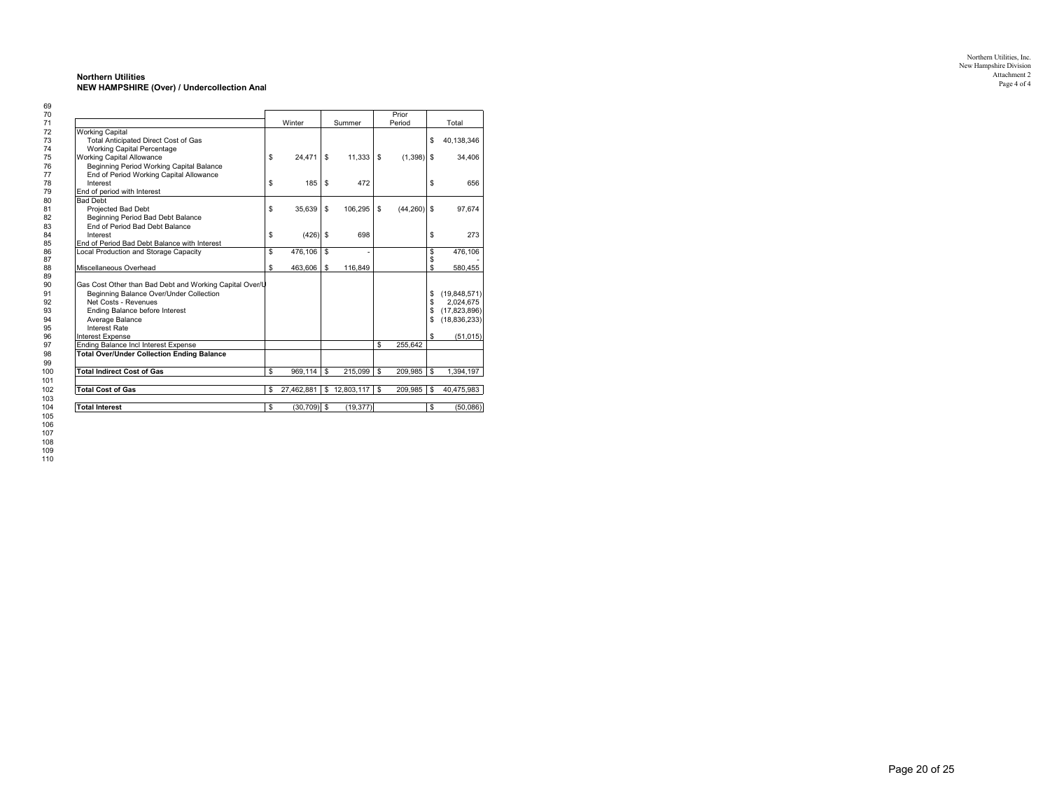#### **Northern Utilities NEW HAMPSHIRE (Over) / Undercollection Anal**

|                                                         |    |                |    |            |    | Prior         |                      |
|---------------------------------------------------------|----|----------------|----|------------|----|---------------|----------------------|
|                                                         |    | Winter         |    | Summer     |    | Period        | Total                |
| <b>Working Capital</b>                                  |    |                |    |            |    |               |                      |
| <b>Total Anticipated Direct Cost of Gas</b>             |    |                |    |            |    |               | \$<br>40.138.346     |
| <b>Working Capital Percentage</b>                       |    |                |    |            |    |               |                      |
| <b>Working Capital Allowance</b>                        | \$ | 24.471         | S  | 11.333     | s  | (1, 398)      | \$<br>34,406         |
| Beginning Period Working Capital Balance                |    |                |    |            |    |               |                      |
| End of Period Working Capital Allowance                 |    |                |    |            |    |               |                      |
| Interest                                                | \$ | 185            | S  | 472        |    |               | \$<br>656            |
| End of period with Interest                             |    |                |    |            |    |               |                      |
| <b>Bad Debt</b>                                         |    |                |    |            |    |               |                      |
| Projected Bad Debt                                      | \$ | 35,639         | s  | 106,295    | s  | $(44,260)$ \$ | 97,674               |
| Beginning Period Bad Debt Balance                       |    |                |    |            |    |               |                      |
| End of Period Bad Debt Balance                          |    |                |    |            |    |               |                      |
| Interest                                                | \$ | $(426)$ \$     |    | 698        |    |               | \$<br>273            |
| End of Period Bad Debt Balance with Interest            |    |                |    |            |    |               |                      |
| Local Production and Storage Capacity                   | S  | 476.106        | S, |            |    |               | \$<br>476,106        |
|                                                         |    |                |    |            |    |               | \$                   |
| Miscellaneous Overhead                                  | \$ | 463,606        | S  | 116,849    |    |               | \$<br>580,455        |
|                                                         |    |                |    |            |    |               |                      |
| Gas Cost Other than Bad Debt and Working Capital Over/U |    |                |    |            |    |               |                      |
| Beginning Balance Over/Under Collection                 |    |                |    |            |    |               | \$<br>(19, 848, 571) |
| Net Costs - Revenues                                    |    |                |    |            |    |               | \$<br>2,024,675      |
| Ending Balance before Interest                          |    |                |    |            |    |               | \$<br>(17, 823, 896) |
| Average Balance                                         |    |                |    |            |    |               | \$<br>(18, 836, 233) |
| <b>Interest Rate</b>                                    |    |                |    |            |    |               |                      |
| <b>Interest Expense</b>                                 |    |                |    |            |    |               | \$<br>(51, 015)      |
| Ending Balance Incl Interest Expense                    |    |                |    |            | S  | 255.642       |                      |
| <b>Total Over/Under Collection Ending Balance</b>       |    |                |    |            |    |               |                      |
|                                                         |    |                |    |            |    |               |                      |
| <b>Total Indirect Cost of Gas</b>                       | \$ | 969.114        | S  | 215.099    | \$ | 209.985       | \$<br>1,394,197      |
| <b>Total Cost of Gas</b>                                | \$ | 27.462.881     | S  | 12,803,117 | \$ | 209.985       | \$<br>40,475,983     |
| <b>Total Interest</b>                                   | \$ | $(30, 709)$ \$ |    | (19, 377)  |    |               | \$<br>(50,086)       |
|                                                         |    |                |    |            |    |               |                      |

Northern Utilities, Inc. New Hampshire Division Attachment 2Page 4 of 4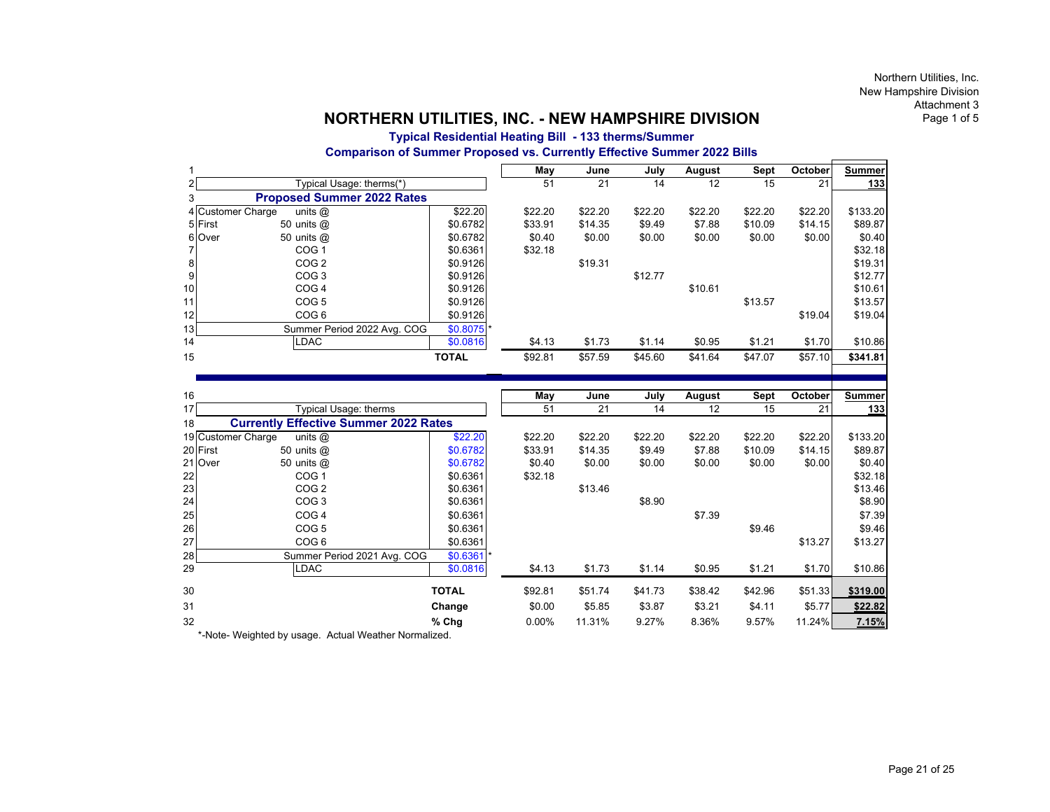# **Typical Residential Heating Bill - 133 therms/Summer Comparison of Summer Proposed vs. Currently Effective Summer 2022 Bills**

|                 |                                   |              | May     | June    | July    | August  | Sept    | October | <b>Summer</b> |
|-----------------|-----------------------------------|--------------|---------|---------|---------|---------|---------|---------|---------------|
|                 | Typical Usage: therms(*)          |              | 51      | 21      | 14      | 12      | 15      | 21      | 133           |
|                 | <b>Proposed Summer 2022 Rates</b> |              |         |         |         |         |         |         |               |
|                 | 4 Customer Charge<br>units $@$    | \$22.20      | \$22.20 | \$22.20 | \$22.20 | \$22.20 | \$22.20 | \$22.20 | \$133.20      |
|                 | 5 First<br>50 units $@$           | \$0.6782     | \$33.91 | \$14.35 | \$9.49  | \$7.88  | \$10.09 | \$14.15 | \$89.87       |
|                 | 6 Over<br>50 units $@$            | \$0.6782     | \$0.40  | \$0.00  | \$0.00  | \$0.00  | \$0.00  | \$0.00  | \$0.40        |
|                 | COG <sub>1</sub>                  | \$0.6361     | \$32.18 |         |         |         |         |         | \$32.18       |
| 8               | COG <sub>2</sub>                  | \$0.9126     |         | \$19.31 |         |         |         |         | \$19.31       |
| 9               | COG <sub>3</sub>                  | \$0.9126     |         |         | \$12.77 |         |         |         | \$12.77       |
| 10              | COG <sub>4</sub>                  | \$0.9126     |         |         |         | \$10.61 |         |         | \$10.61       |
| 11              | COG <sub>5</sub>                  | \$0.9126     |         |         |         |         | \$13.57 |         | \$13.57       |
| 12              | COG <sub>6</sub>                  | \$0.9126     |         |         |         |         |         | \$19.04 | \$19.04       |
| 13 <sub>l</sub> | Summer Period 2022 Avg. COG       | $$0.8075$ *  |         |         |         |         |         |         |               |
| 14              | <b>LDAC</b>                       | \$0.0816     | \$4.13  | \$1.73  | \$1.14  | \$0.95  | \$1.21  | \$1.70  | \$10.86       |
| 15              |                                   | <b>TOTAL</b> | \$92.81 | \$57.59 | \$45.60 | \$41.64 | \$47.07 | \$57.10 | \$341.81      |
|                 |                                   |              |         |         |         |         |         |         |               |

| 16       |                                              |              | May      | June    | July    | August  | Sept    | October | <b>Summer</b> |
|----------|----------------------------------------------|--------------|----------|---------|---------|---------|---------|---------|---------------|
| 17       | Typical Usage: therms                        |              | 51       | 21      | 14      | 12      | 15      | 21      | <u>133</u>    |
| 18       | <b>Currently Effective Summer 2022 Rates</b> |              |          |         |         |         |         |         |               |
|          | 19 Customer Charge<br>units $@$              | \$22.20      | \$22.20  | \$22.20 | \$22.20 | \$22.20 | \$22.20 | \$22.20 | \$133.20      |
| 20 First | 50 units $@$                                 | \$0.6782     | \$33.91  | \$14.35 | \$9.49  | \$7.88  | \$10.09 | \$14.15 | \$89.87       |
| 21 Over  | 50 units $@$                                 | \$0.6782     | \$0.40   | \$0.00  | \$0.00  | \$0.00  | \$0.00  | \$0.00  | \$0.40        |
| 22       | COG <sub>1</sub>                             | \$0.6361     | \$32.18  |         |         |         |         |         | \$32.18       |
| 23       | COG <sub>2</sub>                             | \$0.6361     |          | \$13.46 |         |         |         |         | \$13.46       |
| 24       | COG <sub>3</sub>                             | \$0.6361     |          |         | \$8.90  |         |         |         | \$8.90        |
| 25       | COG <sub>4</sub>                             | \$0.6361     |          |         |         | \$7.39  |         |         | \$7.39        |
| 26       | COG <sub>5</sub>                             | \$0.6361     |          |         |         |         | \$9.46  |         | \$9.46        |
| 27       | COG <sub>6</sub>                             | \$0.6361     |          |         |         |         |         | \$13.27 | \$13.27       |
| 28       | Summer Period 2021 Avg. COG                  | $$0.6361$ *  |          |         |         |         |         |         |               |
| 29       | LDAC                                         | \$0.0816     | \$4.13   | \$1.73  | \$1.14  | \$0.95  | \$1.21  | \$1.70  | \$10.86       |
| 30       |                                              | <b>TOTAL</b> | \$92.81  | \$51.74 | \$41.73 | \$38.42 | \$42.96 | \$51.33 | \$319.00      |
| 31       |                                              | Change       | \$0.00   | \$5.85  | \$3.87  | \$3.21  | \$4.11  | \$5.77  | \$22.82       |
| 32       |                                              | $%$ Chg      | $0.00\%$ | 11.31%  | 9.27%   | 8.36%   | 9.57%   | 11.24%  | 7.15%         |

\*-Note- Weighted by usage. Actual Weather Normalized.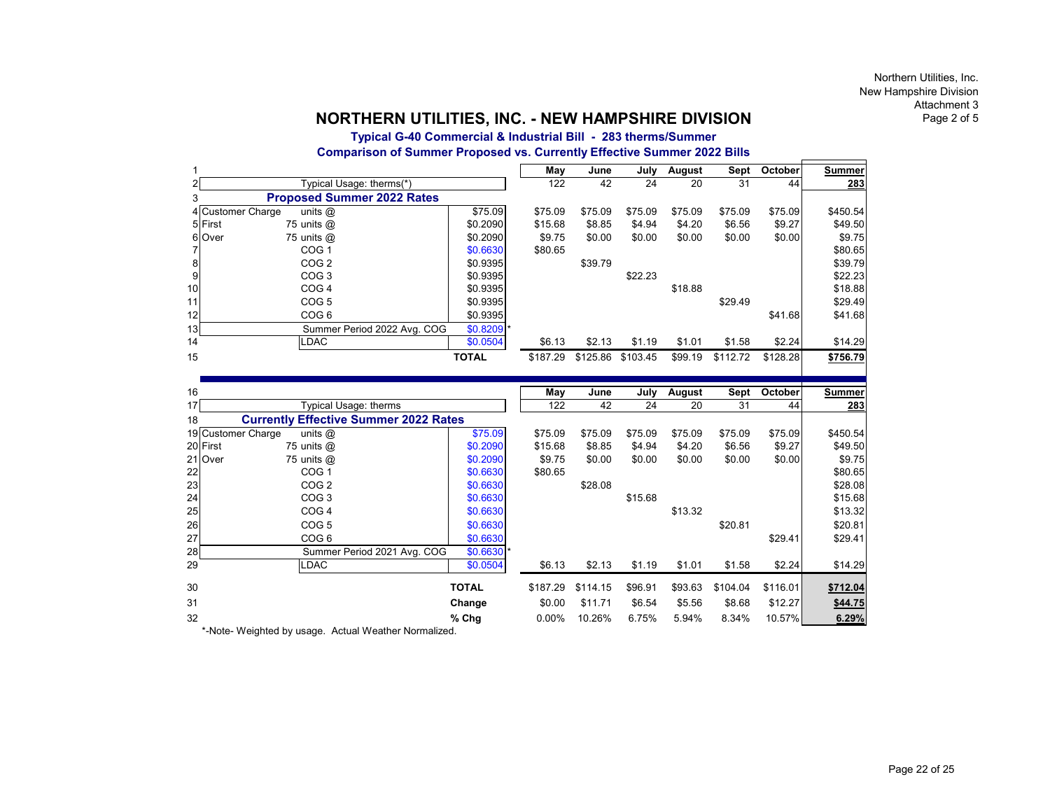# **Typical G-40 Commercial & Industrial Bill - 283 therms/Summer Comparison of Summer Proposed vs. Currently Effective Summer 2022 Bills**

|                   |                                   |              | May      | June     | July     | August  | Sept     | October  | Summer   |
|-------------------|-----------------------------------|--------------|----------|----------|----------|---------|----------|----------|----------|
|                   | Typical Usage: therms(*)          |              | 122      | 42       | 24       | 20      | 31       | 44       | 283      |
|                   | <b>Proposed Summer 2022 Rates</b> |              |          |          |          |         |          |          |          |
| 4 Customer Charge | units $@$                         | \$75.09      | \$75.09  | \$75.09  | \$75.09  | \$75.09 | \$75.09  | \$75.09  | \$450.54 |
| 5 First           | 75 units $@$                      | \$0.2090     | \$15.68  | \$8.85   | \$4.94   | \$4.20  | \$6.56   | \$9.27   | \$49.50  |
| 6 Over            | 75 units $@$                      | \$0.2090     | \$9.75   | \$0.00   | \$0.00   | \$0.00  | \$0.00   | \$0.00   | \$9.75   |
|                   | COG <sub>1</sub>                  | \$0.6630     | \$80.65  |          |          |         |          |          | \$80.65  |
| 8                 | COG <sub>2</sub>                  | \$0.9395     |          | \$39.79  |          |         |          |          | \$39.79  |
| 9                 | COG <sub>3</sub>                  | \$0.9395     |          |          | \$22.23  |         |          |          | \$22.23  |
| 10                | COG <sub>4</sub>                  | \$0.9395     |          |          |          | \$18.88 |          |          | \$18.88  |
| 11                | COG <sub>5</sub>                  | \$0.9395     |          |          |          |         | \$29.49  |          | \$29.49  |
| 12                | COG <sub>6</sub>                  | \$0.9395     |          |          |          |         |          | \$41.68  | \$41.68  |
| 13 <sup>1</sup>   | Summer Period 2022 Avg. COG       | $$0.8209$ *  |          |          |          |         |          |          |          |
| 14                | <b>LDAC</b>                       | \$0.0504     | \$6.13   | \$2.13   | \$1.19   | \$1.01  | \$1.58   | \$2.24   | \$14.29  |
| 15                |                                   | <b>TOTAL</b> | \$187.29 | \$125.86 | \$103.45 | \$99.19 | \$112.72 | \$128.28 | \$756.79 |
|                   |                                   |              |          |          |          |         |          |          |          |

| 16 |                                              |              | May      | June     | July    | August  | Sept     | October  | <b>Summer</b> |
|----|----------------------------------------------|--------------|----------|----------|---------|---------|----------|----------|---------------|
| 17 | Typical Usage: therms                        |              | 122      | 42       | 24      | 20      | 31       | 44       | 283           |
| 18 | <b>Currently Effective Summer 2022 Rates</b> |              |          |          |         |         |          |          |               |
|    | 19 Customer Charge<br>units $@$              | \$75.09      | \$75.09  | \$75.09  | \$75.09 | \$75.09 | \$75.09  | \$75.09  | \$450.54      |
|    | 20 First<br>75 units @                       | \$0.2090     | \$15.68  | \$8.85   | \$4.94  | \$4.20  | \$6.56   | \$9.27   | \$49.50       |
|    | 75 units @<br>21 Over                        | \$0.2090     | \$9.75   | \$0.00   | \$0.00  | \$0.00  | \$0.00   | \$0.00   | \$9.75        |
| 22 | COG <sub>1</sub>                             | \$0.6630     | \$80.65  |          |         |         |          |          | \$80.65       |
| 23 | COG <sub>2</sub>                             | \$0.6630     |          | \$28.08  |         |         |          |          | \$28.08       |
| 24 | COG <sub>3</sub>                             | \$0.6630     |          |          | \$15.68 |         |          |          | \$15.68       |
| 25 | COG <sub>4</sub>                             | \$0.6630     |          |          |         | \$13.32 |          |          | \$13.32       |
| 26 | COG <sub>5</sub>                             | \$0.6630     |          |          |         |         | \$20.81  |          | \$20.81       |
| 27 | COG <sub>6</sub>                             | \$0.6630     |          |          |         |         |          | \$29.41  | \$29.41       |
| 28 | Summer Period 2021 Avg. COG                  | $$0.6630$ *  |          |          |         |         |          |          |               |
| 29 | <b>LDAC</b>                                  | \$0.0504     | \$6.13   | \$2.13   | \$1.19  | \$1.01  | \$1.58   | \$2.24   | \$14.29       |
| 30 |                                              | <b>TOTAL</b> | \$187.29 | \$114.15 | \$96.91 | \$93.63 | \$104.04 | \$116.01 | \$712.04      |
| 31 |                                              | Change       | \$0.00   | \$11.71  | \$6.54  | \$5.56  | \$8.68   | \$12.27  | \$44.75       |
| 32 |                                              | $%$ Chg      | $0.00\%$ | 10.26%   | 6.75%   | 5.94%   | 8.34%    | 10.57%   | 6.29%         |

\*-Note- Weighted by usage. Actual Weather Normalized.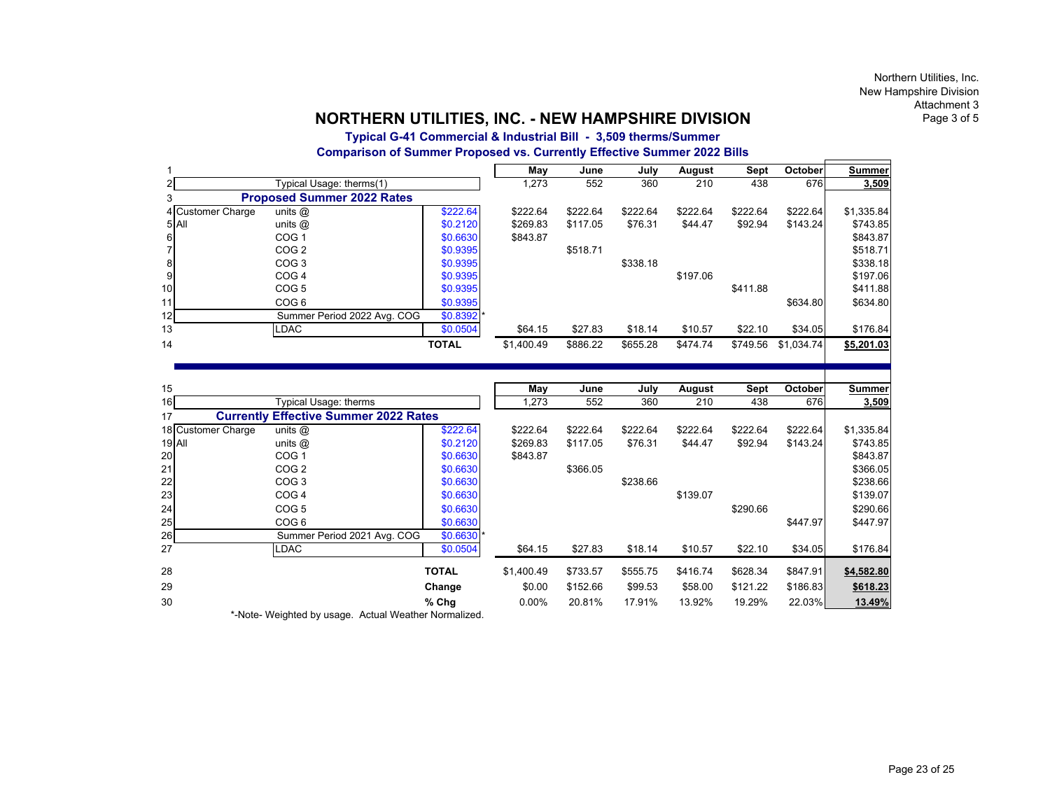# **Typical G-41 Commercial & Industrial Bill - 3,509 therms/Summer Comparison of Summer Proposed vs. Currently Effective Summer 2022 Bills**

|                   |                                   |              | May        | June     | July     | August   | Sept     | October    | <b>Summer</b> |
|-------------------|-----------------------------------|--------------|------------|----------|----------|----------|----------|------------|---------------|
| 2                 | Typical Usage: therms(1)          |              | 1,273      | 552      | 360      | 210      | 438      | 676        | 3,509         |
| 3                 | <b>Proposed Summer 2022 Rates</b> |              |            |          |          |          |          |            |               |
| 4 Customer Charge | units $@$                         | \$222.64     | \$222.64   | \$222.64 | \$222.64 | \$222.64 | \$222.64 | \$222.64   | \$1,335.84    |
| 5 All             | units $@$                         | \$0.2120     | \$269.83   | \$117.05 | \$76.31  | \$44.47  | \$92.94  | \$143.24   | \$743.85      |
| 6                 | COG <sub>1</sub>                  | \$0.6630     | \$843.87   |          |          |          |          |            | \$843.87      |
|                   | COG <sub>2</sub>                  | \$0.9395     |            | \$518.71 |          |          |          |            | \$518.71      |
| 8                 | COG <sub>3</sub>                  | \$0.9395     |            |          | \$338.18 |          |          |            | \$338.18      |
| 9                 | COG <sub>4</sub>                  | \$0.9395     |            |          |          | \$197.06 |          |            | \$197.06      |
| 10 <sup>1</sup>   | COG <sub>5</sub>                  | \$0.9395     |            |          |          |          | \$411.88 |            | \$411.88      |
| 11 <sub>1</sub>   | COG <sub>6</sub>                  | \$0.9395     |            |          |          |          |          | \$634.80   | \$634.80      |
| 12                | Summer Period 2022 Avg. COG       | $$0.8392$ *  |            |          |          |          |          |            |               |
| 13                | <b>LDAC</b>                       | \$0.0504     | \$64.15    | \$27.83  | \$18.14  | \$10.57  | \$22.10  | \$34.05    | \$176.84      |
| 14                |                                   | <b>TOTAL</b> | \$1,400.49 | \$886.22 | \$655.28 | \$474.74 | \$749.56 | \$1,034.74 | \$5,201.03    |

| 15        |                                                                                                                                                                                                                                                                                                  |              | May        | June     | July     | August   | Sept     | October  | <b>Summer</b> |
|-----------|--------------------------------------------------------------------------------------------------------------------------------------------------------------------------------------------------------------------------------------------------------------------------------------------------|--------------|------------|----------|----------|----------|----------|----------|---------------|
| 16        | Typical Usage: therms                                                                                                                                                                                                                                                                            |              | 1,273      | 552      | 360      | 210      | 438      | 676      | 3,509         |
| 17        | <b>Currently Effective Summer 2022 Rates</b>                                                                                                                                                                                                                                                     |              |            |          |          |          |          |          |               |
|           | 18 Customer Charge<br>units $@$                                                                                                                                                                                                                                                                  | \$222.64     | \$222.64   | \$222.64 | \$222.64 | \$222.64 | \$222.64 | \$222.64 | \$1,335.84    |
| 19 All    | units $@$                                                                                                                                                                                                                                                                                        | \$0.2120     | \$269.83   | \$117.05 | \$76.31  | \$44.47  | \$92.94  | \$143.24 | \$743.85      |
| <b>20</b> | COG <sub>1</sub>                                                                                                                                                                                                                                                                                 | \$0.6630     | \$843.87   |          |          |          |          |          | \$843.87      |
| 21        | COG <sub>2</sub>                                                                                                                                                                                                                                                                                 | \$0.6630     |            | \$366.05 |          |          |          |          | \$366.05      |
| 22        | COG <sub>3</sub>                                                                                                                                                                                                                                                                                 | \$0.6630     |            |          | \$238.66 |          |          |          | \$238.66      |
| 23        | COG <sub>4</sub>                                                                                                                                                                                                                                                                                 | \$0.6630     |            |          |          | \$139.07 |          |          | \$139.07      |
| 24        | COG <sub>5</sub>                                                                                                                                                                                                                                                                                 | \$0.6630     |            |          |          |          | \$290.66 |          | \$290.66      |
| 25        | COG <sub>6</sub>                                                                                                                                                                                                                                                                                 | \$0.6630     |            |          |          |          |          | \$447.97 | \$447.97      |
| <b>26</b> | Summer Period 2021 Avg. COG                                                                                                                                                                                                                                                                      | $$0.6630$ *  |            |          |          |          |          |          |               |
| 27        | LDAC                                                                                                                                                                                                                                                                                             | \$0.0504     | \$64.15    | \$27.83  | \$18.14  | \$10.57  | \$22.10  | \$34.05  | \$176.84      |
| 28        |                                                                                                                                                                                                                                                                                                  | <b>TOTAL</b> | \$1,400.49 | \$733.57 | \$555.75 | \$416.74 | \$628.34 | \$847.91 | \$4,582.80    |
| 29        |                                                                                                                                                                                                                                                                                                  | Change       | \$0.00     | \$152.66 | \$99.53  | \$58.00  | \$121.22 | \$186.83 | \$618.23      |
| 30        |                                                                                                                                                                                                                                                                                                  | $%$ Chg      | $0.00\%$   | 20.81%   | 17.91%   | 13.92%   | 19.29%   | 22.03%   | 13.49%        |
|           | $\star$ M and $\star$ M and $\star$ and $\star$ and $\star$ and $\star$ are contracted in the set of $\star$ and $\star$ and $\star$ and $\star$ and $\star$ and $\star$ and $\star$ and $\star$ and $\star$ and $\star$ and $\star$ and $\star$ and $\star$ and $\star$ and $\star$ and $\star$ |              |            |          |          |          |          |          |               |

\*-Note- Weighted by usage. Actual Weather Normalized.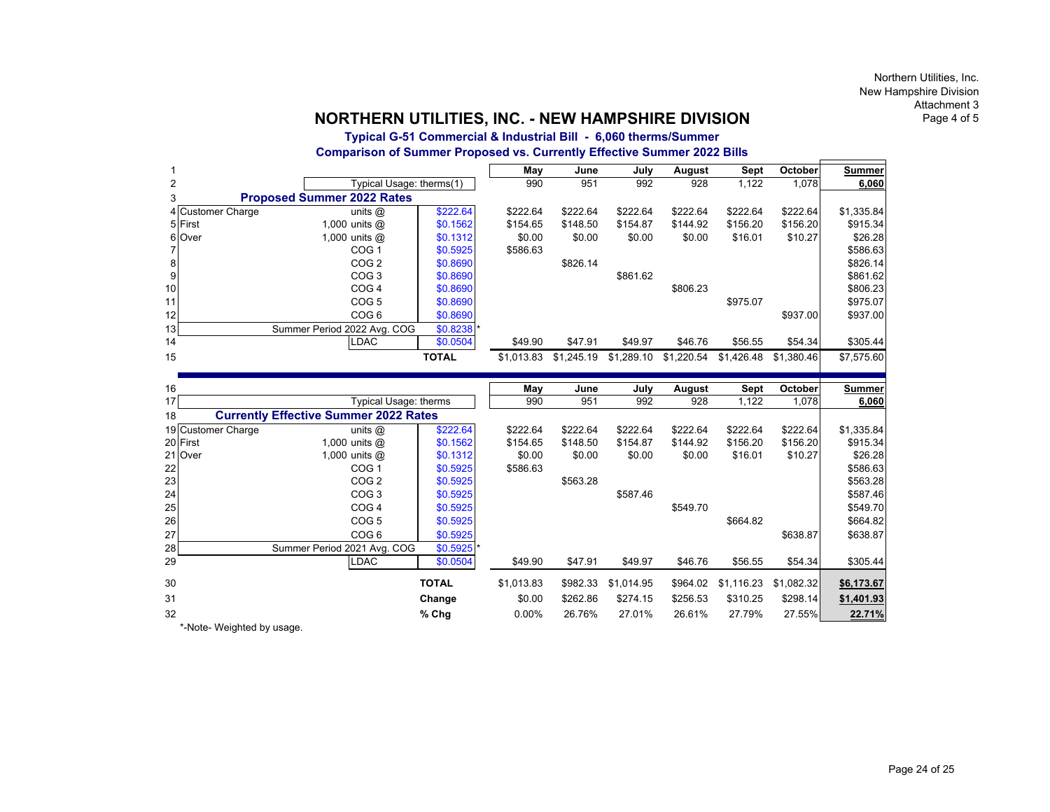# **Typical G-51 Commercial & Industrial Bill - 6,060 therms/Summer Comparison of Summer Proposed vs. Currently Effective Summer 2022 Bills**

|                 |                   |                                   |              | May        | June       | July       | August     | Sept       | <b>October</b> | Summer     |
|-----------------|-------------------|-----------------------------------|--------------|------------|------------|------------|------------|------------|----------------|------------|
| 2               |                   | Typical Usage: therms(1)          |              | 990        | 951        | 992        | 928        | 1,122      | 1,078          | 6,060      |
|                 |                   | <b>Proposed Summer 2022 Rates</b> |              |            |            |            |            |            |                |            |
|                 | 4 Customer Charge | units $@$                         | \$222.64     | \$222.64   | \$222.64   | \$222.64   | \$222.64   | \$222.64   | \$222.64       | \$1,335.84 |
| 5 First         |                   | 1,000 units $@$                   | \$0.1562     | \$154.65   | \$148.50   | \$154.87   | \$144.92   | \$156.20   | \$156.20       | \$915.34   |
| 6 Over          |                   | 1,000 units $@$                   | \$0.1312     | \$0.00     | \$0.00     | \$0.00     | \$0.00     | \$16.01    | \$10.27        | \$26.28    |
|                 |                   | COG <sub>1</sub>                  | \$0.5925     | \$586.63   |            |            |            |            |                | \$586.63   |
| 8               |                   | COG <sub>2</sub>                  | \$0.8690     |            | \$826.14   |            |            |            |                | \$826.14   |
| 9               |                   | COG <sub>3</sub>                  | \$0.8690     |            |            | \$861.62   |            |            |                | \$861.62   |
| 10 <sup>1</sup> |                   | COG <sub>4</sub>                  | \$0.8690     |            |            |            | \$806.23   |            |                | \$806.23   |
| 11              |                   | COG <sub>5</sub>                  | \$0.8690     |            |            |            |            | \$975.07   |                | \$975.07   |
| 12              |                   | COG <sub>6</sub>                  | \$0.8690     |            |            |            |            |            | \$937.00       | \$937.00   |
| 13              |                   | Summer Period 2022 Avg. COG       | \$0.8238     |            |            |            |            |            |                |            |
| 14              |                   | LDAC                              | \$0.0504     | \$49.90    | \$47.91    | \$49.97    | \$46.76    | \$56.55    | \$54.34        | \$305.44   |
| 15              |                   |                                   | <b>TOTAL</b> | \$1.013.83 | \$1.245.19 | \$1.289.10 | \$1.220.54 | \$1.426.48 | \$1.380.46     | \$7.575.60 |
|                 |                   |                                   |              |            |            |            |            |            |                |            |

| 16                                                 |                            |                             |              | May        | June     | July       | August   | Sept       | October    | <b>Summer</b> |
|----------------------------------------------------|----------------------------|-----------------------------|--------------|------------|----------|------------|----------|------------|------------|---------------|
| 17                                                 | Typical Usage: therms      |                             | 990          | 951        | 992      | 928        | 1,122    | 1,078      | 6,060      |               |
| <b>Currently Effective Summer 2022 Rates</b><br>18 |                            |                             |              |            |          |            |          |            |            |               |
|                                                    | 19 Customer Charge         | units $@$                   | \$222.64     | \$222.64   | \$222.64 | \$222.64   | \$222.64 | \$222.64   | \$222.64   | \$1,335.84    |
|                                                    | 20 First                   | 1,000 units $@$             | \$0.1562     | \$154.65   | \$148.50 | \$154.87   | \$144.92 | \$156.20   | \$156.20   | \$915.34      |
|                                                    | 21 Over                    | 1,000 units $@$             | \$0.1312     | \$0.00     | \$0.00   | \$0.00     | \$0.00   | \$16.01    | \$10.27    | \$26.28       |
| 22                                                 |                            | COG <sub>1</sub>            | \$0.5925     | \$586.63   |          |            |          |            |            | \$586.63      |
| 23                                                 |                            | COG <sub>2</sub>            | \$0.5925     |            | \$563.28 |            |          |            |            | \$563.28      |
| 24                                                 |                            | COG <sub>3</sub>            | \$0.5925     |            |          | \$587.46   |          |            |            | \$587.46      |
| 25                                                 |                            | COG <sub>4</sub>            | \$0.5925     |            |          |            | \$549.70 |            |            | \$549.70      |
| 26                                                 |                            | COG <sub>5</sub>            | \$0.5925     |            |          |            |          | \$664.82   |            | \$664.82      |
| 27                                                 |                            | COG <sub>6</sub>            | \$0.5925     |            |          |            |          |            | \$638.87   | \$638.87      |
| 28                                                 |                            | Summer Period 2021 Avg. COG | \$0.5925     |            |          |            |          |            |            |               |
| 29                                                 |                            | LDAC                        | \$0.0504     | \$49.90    | \$47.91  | \$49.97    | \$46.76  | \$56.55    | \$54.34    | \$305.44]     |
| 30                                                 |                            |                             | <b>TOTAL</b> | \$1,013.83 | \$982.33 | \$1,014.95 | \$964.02 | \$1,116.23 | \$1,082.32 | \$6,173.67    |
| 31                                                 |                            |                             | Change       | \$0.00     | \$262.86 | \$274.15   | \$256.53 | \$310.25   | \$298.14]  | \$1,401.93    |
| 32                                                 |                            |                             | $%$ Chg      | $0.00\%$   | 26.76%   | 27.01%     | 26.61%   | 27.79%     | 27.55%     | 22.71%        |
|                                                    | *-Note- Weighted by usage. |                             |              |            |          |            |          |            |            |               |